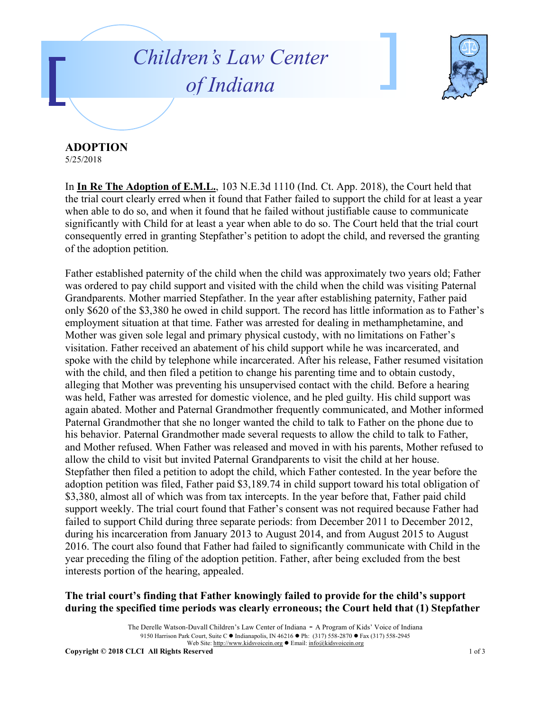## *Children's Law Center of Indiana*



**ADOPTION**

5/25/2018

In **In Re The Adoption of E.M.L.**, 103 N.E.3d 1110 (Ind. Ct. App. 2018), the Court held that the trial court clearly erred when it found that Father failed to support the child for at least a year when able to do so, and when it found that he failed without justifiable cause to communicate significantly with Child for at least a year when able to do so. The Court held that the trial court consequently erred in granting Stepfather's petition to adopt the child, and reversed the granting of the adoption petition.

Father established paternity of the child when the child was approximately two years old; Father was ordered to pay child support and visited with the child when the child was visiting Paternal Grandparents. Mother married Stepfather. In the year after establishing paternity, Father paid only \$620 of the \$3,380 he owed in child support. The record has little information as to Father's employment situation at that time. Father was arrested for dealing in methamphetamine, and Mother was given sole legal and primary physical custody, with no limitations on Father's visitation. Father received an abatement of his child support while he was incarcerated, and spoke with the child by telephone while incarcerated. After his release, Father resumed visitation with the child, and then filed a petition to change his parenting time and to obtain custody, alleging that Mother was preventing his unsupervised contact with the child. Before a hearing was held, Father was arrested for domestic violence, and he pled guilty. His child support was again abated. Mother and Paternal Grandmother frequently communicated, and Mother informed Paternal Grandmother that she no longer wanted the child to talk to Father on the phone due to his behavior. Paternal Grandmother made several requests to allow the child to talk to Father, and Mother refused. When Father was released and moved in with his parents, Mother refused to allow the child to visit but invited Paternal Grandparents to visit the child at her house. Stepfather then filed a petition to adopt the child, which Father contested. In the year before the adoption petition was filed, Father paid \$3,189.74 in child support toward his total obligation of \$3,380, almost all of which was from tax intercepts. In the year before that, Father paid child support weekly. The trial court found that Father's consent was not required because Father had failed to support Child during three separate periods: from December 2011 to December 2012, during his incarceration from January 2013 to August 2014, and from August 2015 to August 2016. The court also found that Father had failed to significantly communicate with Child in the year preceding the filing of the adoption petition. Father, after being excluded from the best interests portion of the hearing, appealed.

## **The trial court's finding that Father knowingly failed to provide for the child's support during the specified time periods was clearly erroneous; the Court held that (1) Stepfather**

The Derelle Watson-Duvall Children's Law Center of Indiana - A Program of Kids' Voice of Indiana 9150 Harrison Park Court, Suite C · Indianapolis, IN 46216 · Ph: (317) 558-2870 · Fax (317) 558-2945 Web Site: http://www.kidsvoicein.org <br>• Email: info@kidsvoicein.org **Copyright © 2018 CLCI All Rights Reserved** 1 of 3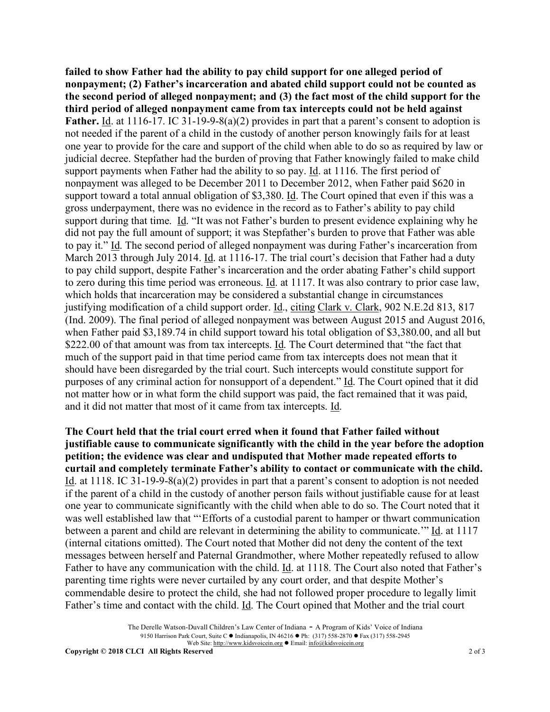**failed to show Father had the ability to pay child support for one alleged period of nonpayment; (2) Father's incarceration and abated child support could not be counted as the second period of alleged nonpayment; and (3) the fact most of the child support for the third period of alleged nonpayment came from tax intercepts could not be held against**  Father. Id. at 1116-17. IC 31-19-9-8(a)(2) provides in part that a parent's consent to adoption is not needed if the parent of a child in the custody of another person knowingly fails for at least one year to provide for the care and support of the child when able to do so as required by law or judicial decree. Stepfather had the burden of proving that Father knowingly failed to make child support payments when Father had the ability to so pay. Id. at 1116. The first period of nonpayment was alleged to be December 2011 to December 2012, when Father paid \$620 in support toward a total annual obligation of \$3,380. Id. The Court opined that even if this was a gross underpayment, there was no evidence in the record as to Father's ability to pay child support during that time. Id. "It was not Father's burden to present evidence explaining why he did not pay the full amount of support; it was Stepfather's burden to prove that Father was able to pay it." Id. The second period of alleged nonpayment was during Father's incarceration from March 2013 through July 2014. Id. at 1116-17. The trial court's decision that Father had a duty to pay child support, despite Father's incarceration and the order abating Father's child support to zero during this time period was erroneous. Id. at 1117. It was also contrary to prior case law, which holds that incarceration may be considered a substantial change in circumstances justifying modification of a child support order. Id., citing Clark v. Clark, 902 N.E.2d 813, 817 (Ind. 2009). The final period of alleged nonpayment was between August 2015 and August 2016, when Father paid \$3,189.74 in child support toward his total obligation of \$3,380.00, and all but \$222.00 of that amount was from tax intercepts. Id. The Court determined that "the fact that much of the support paid in that time period came from tax intercepts does not mean that it should have been disregarded by the trial court. Such intercepts would constitute support for purposes of any criminal action for nonsupport of a dependent." Id. The Court opined that it did not matter how or in what form the child support was paid, the fact remained that it was paid, and it did not matter that most of it came from tax intercepts. Id.

**The Court held that the trial court erred when it found that Father failed without justifiable cause to communicate significantly with the child in the year before the adoption petition; the evidence was clear and undisputed that Mother made repeated efforts to curtail and completely terminate Father's ability to contact or communicate with the child.** Id. at 1118. IC 31-19-9-8(a)(2) provides in part that a parent's consent to adoption is not needed if the parent of a child in the custody of another person fails without justifiable cause for at least one year to communicate significantly with the child when able to do so. The Court noted that it was well established law that "'Efforts of a custodial parent to hamper or thwart communication between a parent and child are relevant in determining the ability to communicate.'" Id. at 1117 (internal citations omitted). The Court noted that Mother did not deny the content of the text messages between herself and Paternal Grandmother, where Mother repeatedly refused to allow Father to have any communication with the child. Id. at 1118. The Court also noted that Father's parenting time rights were never curtailed by any court order, and that despite Mother's commendable desire to protect the child, she had not followed proper procedure to legally limit Father's time and contact with the child. Id. The Court opined that Mother and the trial court